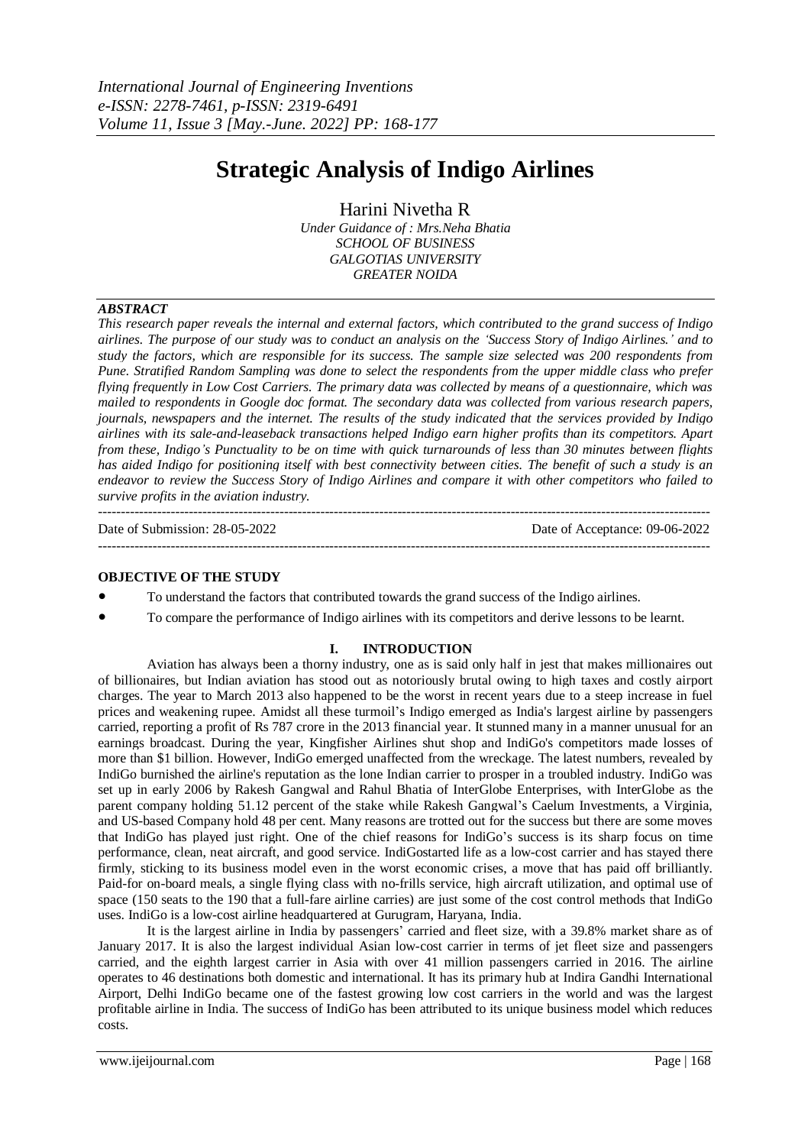# **Strategic Analysis of Indigo Airlines**

Harini Nivetha R

*Under Guidance of : Mrs.Neha Bhatia SCHOOL OF BUSINESS GALGOTIAS UNIVERSITY GREATER NOIDA*

## *ABSTRACT*

This research paper reveals the internal and external factors, which contributed to the grand success of Indigo airlines. The purpose of our study was to conduct an analysis on the 'Success Story of Indigo Airlines.' and to study the factors, which are responsible for its success. The sample size selected was 200 respondents from Pune. Stratified Random Sampling was done to select the respondents from the upper middle class who prefer flying frequently in Low Cost Carriers. The primary data was collected by means of a questionnaire, which was *mailed to respondents in Google doc format. The secondary data was collected from various research papers,* journals, newspapers and the internet. The results of the study indicated that the services provided by Indigo *airlines with its sale-and-leaseback transactions helped Indigo earn higher profits than its competitors. Apart* from these, Indigo's Punctuality to be on time with quick turnarounds of less than 30 minutes between flights has aided Indigo for positioning itself with best connectivity between cities. The benefit of such a study is an endeavor to review the Success Story of Indigo Airlines and compare it with other competitors who failed to *survive profits in the aviation industry.*

--------------------------------------------------------------------------------------------------------------------------------------- Date of Submission: 28-05-2022 Date of Acceptance: 09-06-2022 ---------------------------------------------------------------------------------------------------------------------------------------

#### **OBJECTIVE OF THE STUDY**

- To understand the factors that contributed towards the grand success of the Indigo airlines.
- To compare the performance of Indigo airlines with its competitors and derive lessons to be learnt.

# **I. INTRODUCTION**

Aviation has always been a thorny industry, one as is said only half in jest that makes millionaires out of billionaires, but Indian aviation has stood out as notoriously brutal owing to high taxes and costly airport charges. The year to March 2013 also happened to be the worst in recent years due to a steep increase in fuel prices and weakening rupee. Amidst all these turmoil's Indigo emerged as India's largest airline by passengers carried, reporting a profit of Rs 787 crore in the 2013 financial year. It stunned many in a manner unusual for an earnings broadcast. During the year, Kingfisher Airlines shut shop and IndiGo's competitors made losses of more than \$1 billion. However, IndiGo emerged unaffected from the wreckage. The latest numbers, revealed by IndiGo burnished the airline's reputation as the lone Indian carrier to prosper in a troubled industry. IndiGo was set up in early 2006 by Rakesh Gangwal and Rahul Bhatia of InterGlobe Enterprises, with InterGlobe as the parent company holding 51.12 percent of the stake while Rakesh Gangwal's Caelum Investments, a Virginia, and US-based Company hold 48 per cent. Many reasons are trotted out for the success but there are some moves that IndiGo has played just right. One of the chief reasons for IndiGo's success is its sharp focus on time performance, clean, neat aircraft, and good service. IndiGostarted life as a low-cost carrier and has stayed there firmly, sticking to its business model even in the worst economic crises, a move that has paid off brilliantly. Paid-for on-board meals, a single flying class with no-frills service, high aircraft utilization, and optimal use of space (150 seats to the 190 that a full-fare airline carries) are just some of the cost control methods that IndiGo uses. IndiGo is a low-cost airline headquartered at Gurugram, Haryana, India.

It is the largest airline in India by passengers' carried and fleet size, with a 39.8% market share as of January 2017. It is also the largest individual Asian low-cost carrier in terms of jet fleet size and passengers carried, and the eighth largest carrier in Asia with over 41 million passengers carried in 2016. The airline operates to 46 destinations both domestic and international. It has its primary hub at Indira Gandhi International Airport, Delhi IndiGo became one of the fastest growing low cost carriers in the world and was the largest profitable airline in India. The success of IndiGo has been attributed to its unique business model which reduces costs.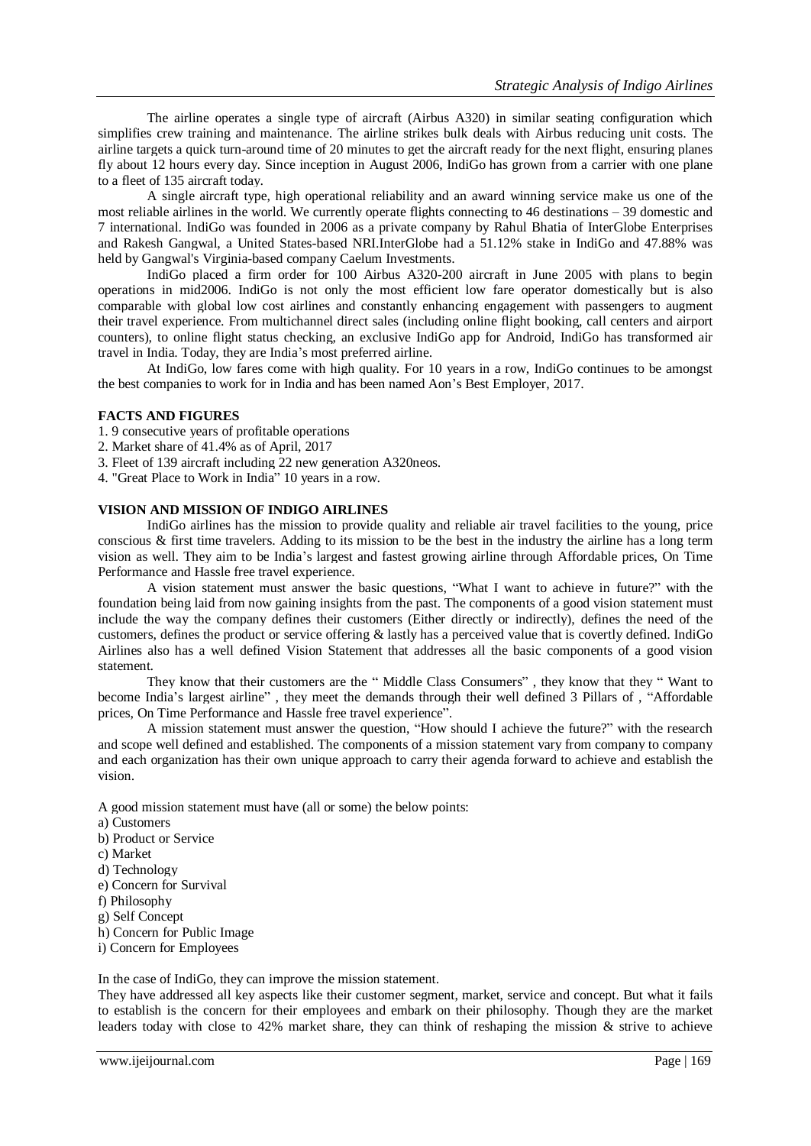The airline operates a single type of aircraft (Airbus A320) in similar seating configuration which simplifies crew training and maintenance. The airline strikes bulk deals with Airbus reducing unit costs. The airline targets a quick turn-around time of 20 minutes to get the aircraft ready for the next flight, ensuring planes fly about 12 hours every day. Since inception in August 2006, IndiGo has grown from a carrier with one plane to a fleet of 135 aircraft today.

A single aircraft type, high operational reliability and an award winning service make us one of the most reliable airlines in the world. We currently operate flights connecting to 46 destinations – 39 domestic and 7 international. IndiGo was founded in 2006 as a private company by Rahul Bhatia of InterGlobe Enterprises and Rakesh Gangwal, a United States-based NRI.InterGlobe had a 51.12% stake in IndiGo and 47.88% was held by Gangwal's Virginia-based company Caelum Investments.

IndiGo placed a firm order for 100 Airbus A320-200 aircraft in June 2005 with plans to begin operations in mid2006. IndiGo is not only the most efficient low fare operator domestically but is also comparable with global low cost airlines and constantly enhancing engagement with passengers to augment their travel experience. From multichannel direct sales (including online flight booking, call centers and airport counters), to online flight status checking, an exclusive IndiGo app for Android, IndiGo has transformed air travel in India. Today, they are India's most preferred airline.

At IndiGo, low fares come with high quality. For 10 years in a row, IndiGo continues to be amongst the best companies to work for in India and has been named Aon's Best Employer, 2017.

#### **FACTS AND FIGURES**

- 1. 9 consecutive years of profitable operations
- 2. Market share of 41.4% as of April, 2017
- 3. Fleet of 139 aircraft including 22 new generation A320neos.
- 4. "Great Place to Work in India" 10 years in a row.

#### **VISION AND MISSION OF INDIGO AIRLINES**

IndiGo airlines has the mission to provide quality and reliable air travel facilities to the young, price conscious & first time travelers. Adding to its mission to be the best in the industry the airline has a long term vision as well. They aim to be India's largest and fastest growing airline through Affordable prices, On Time Performance and Hassle free travel experience.

A vision statement must answer the basic questions, "What I want to achieve in future?" with the foundation being laid from now gaining insights from the past. The components of a good vision statement must include the way the company defines their customers (Either directly or indirectly), defines the need of the customers, defines the product or service offering & lastly has a perceived value that is covertly defined. IndiGo Airlines also has a well defined Vision Statement that addresses all the basic components of a good vision statement.

They know that their customers are the " Middle Class Consumers" , they know that they " Want to become India's largest airline" , they meet the demands through their well defined 3 Pillars of , "Affordable prices, On Time Performance and Hassle free travel experience".

A mission statement must answer the question, "How should I achieve the future?" with the research and scope well defined and established. The components of a mission statement vary from company to company and each organization has their own unique approach to carry their agenda forward to achieve and establish the vision.

A good mission statement must have (all or some) the below points:

a) Customers b) Product or Service c) Market d) Technology e) Concern for Survival f) Philosophy g) Self Concept h) Concern for Public Image i) Concern for Employees

In the case of IndiGo, they can improve the mission statement.

They have addressed all key aspects like their customer segment, market, service and concept. But what it fails to establish is the concern for their employees and embark on their philosophy. Though they are the market leaders today with close to 42% market share, they can think of reshaping the mission & strive to achieve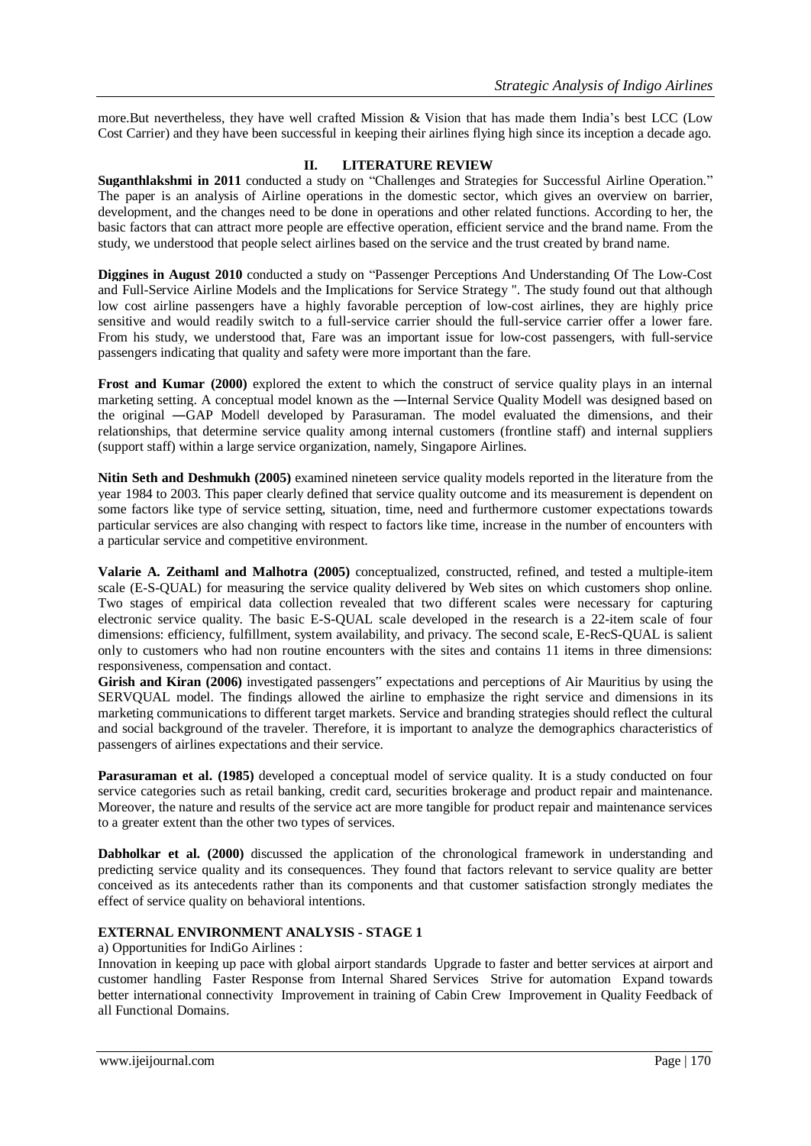more.But nevertheless, they have well crafted Mission & Vision that has made them India's best LCC (Low Cost Carrier) and they have been successful in keeping their airlines flying high since its inception a decade ago.

#### **II. LITERATURE REVIEW**

**Suganthlakshmi in 2011** conducted a study on "Challenges and Strategies for Successful Airline Operation." The paper is an analysis of Airline operations in the domestic sector, which gives an overview on barrier, development, and the changes need to be done in operations and other related functions. According to her, the basic factors that can attract more people are effective operation, efficient service and the brand name. From the study, we understood that people select airlines based on the service and the trust created by brand name.

**Diggines in August 2010** conducted a study on "Passenger Perceptions And Understanding Of The Low-Cost and Full-Service Airline Models and the Implications for Service Strategy ''. The study found out that although low cost airline passengers have a highly favorable perception of low-cost airlines, they are highly price sensitive and would readily switch to a full-service carrier should the full-service carrier offer a lower fare. From his study, we understood that, Fare was an important issue for low-cost passengers, with full-service passengers indicating that quality and safety were more important than the fare.

**Frost and Kumar (2000)** explored the extent to which the construct of service quality plays in an internal marketing setting. A conceptual model known as the ―Internal Service Quality Model‖ was designed based on the original ―GAP Model‖ developed by Parasuraman. The model evaluated the dimensions, and their relationships, that determine service quality among internal customers (frontline staff) and internal suppliers (support staff) within a large service organization, namely, Singapore Airlines.

**Nitin Seth and Deshmukh (2005)** examined nineteen service quality models reported in the literature from the year 1984 to 2003. This paper clearly defined that service quality outcome and its measurement is dependent on some factors like type of service setting, situation, time, need and furthermore customer expectations towards particular services are also changing with respect to factors like time, increase in the number of encounters with a particular service and competitive environment.

**Valarie A. Zeithaml and Malhotra (2005)** conceptualized, constructed, refined, and tested a multiple-item scale (E-S-QUAL) for measuring the service quality delivered by Web sites on which customers shop online. Two stages of empirical data collection revealed that two different scales were necessary for capturing electronic service quality. The basic E-S-QUAL scale developed in the research is a 22-item scale of four dimensions: efficiency, fulfillment, system availability, and privacy. The second scale, E-RecS-QUAL is salient only to customers who had non routine encounters with the sites and contains 11 items in three dimensions: responsiveness, compensation and contact.

**Girish and Kiran (2006)** investigated passengers" expectations and perceptions of Air Mauritius by using the SERVQUAL model. The findings allowed the airline to emphasize the right service and dimensions in its marketing communications to different target markets. Service and branding strategies should reflect the cultural and social background of the traveler. Therefore, it is important to analyze the demographics characteristics of passengers of airlines expectations and their service.

**Parasuraman et al. (1985)** developed a conceptual model of service quality. It is a study conducted on four service categories such as retail banking, credit card, securities brokerage and product repair and maintenance. Moreover, the nature and results of the service act are more tangible for product repair and maintenance services to a greater extent than the other two types of services.

**Dabholkar et al. (2000)** discussed the application of the chronological framework in understanding and predicting service quality and its consequences. They found that factors relevant to service quality are better conceived as its antecedents rather than its components and that customer satisfaction strongly mediates the effect of service quality on behavioral intentions.

#### **EXTERNAL ENVIRONMENT ANALYSIS - STAGE 1**

a) Opportunities for IndiGo Airlines :

Innovation in keeping up pace with global airport standards Upgrade to faster and better services at airport and customer handling Faster Response from Internal Shared Services Strive for automation Expand towards better international connectivity Improvement in training of Cabin Crew Improvement in Quality Feedback of all Functional Domains.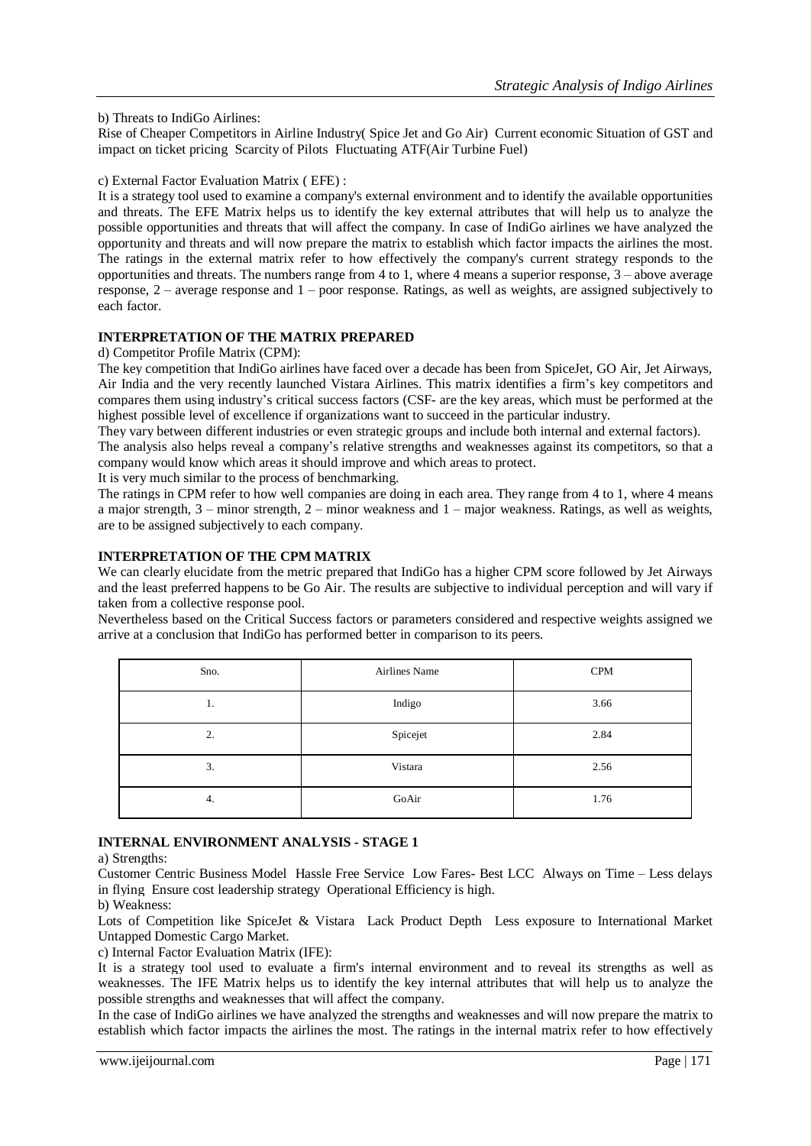b) Threats to IndiGo Airlines:

Rise of Cheaper Competitors in Airline Industry( Spice Jet and Go Air) Current economic Situation of GST and impact on ticket pricing Scarcity of Pilots Fluctuating ATF(Air Turbine Fuel)

#### c) External Factor Evaluation Matrix ( EFE) :

It is a strategy tool used to examine a company's external environment and to identify the available opportunities and threats. The EFE Matrix helps us to identify the key external attributes that will help us to analyze the possible opportunities and threats that will affect the company. In case of IndiGo airlines we have analyzed the opportunity and threats and will now prepare the matrix to establish which factor impacts the airlines the most. The ratings in the external matrix refer to how effectively the company's current strategy responds to the opportunities and threats. The numbers range from 4 to 1, where 4 means a superior response,  $3$  – above average response, 2 – average response and 1 – poor response. Ratings, as well as weights, are assigned subjectively to each factor.

#### **INTERPRETATION OF THE MATRIX PREPARED**

d) Competitor Profile Matrix (CPM):

The key competition that IndiGo airlines have faced over a decade has been from SpiceJet, GO Air, Jet Airways, Air India and the very recently launched Vistara Airlines. This matrix identifies a firm's key competitors and compares them using industry's critical success factors (CSF- are the key areas, which must be performed at the highest possible level of excellence if organizations want to succeed in the particular industry.

They vary between different industries or even strategic groups and include both internal and external factors).

The analysis also helps reveal a company's relative strengths and weaknesses against its competitors, so that a company would know which areas it should improve and which areas to protect.

It is very much similar to the process of benchmarking.

The ratings in CPM refer to how well companies are doing in each area. They range from 4 to 1, where 4 means a major strength, 3 – minor strength, 2 – minor weakness and 1 – major weakness. Ratings, as well as weights, are to be assigned subjectively to each company.

#### **INTERPRETATION OF THE CPM MATRIX**

We can clearly elucidate from the metric prepared that IndiGo has a higher CPM score followed by Jet Airways and the least preferred happens to be Go Air. The results are subjective to individual perception and will vary if taken from a collective response pool.

Nevertheless based on the Critical Success factors or parameters considered and respective weights assigned we arrive at a conclusion that IndiGo has performed better in comparison to its peers.

| Sno. | Airlines Name | <b>CPM</b> |
|------|---------------|------------|
| 1.   | Indigo        | 3.66       |
| 2.   | Spicejet      | 2.84       |
| 3.   | Vistara       | 2.56       |
| 4.   | GoAir         | 1.76       |

## **INTERNAL ENVIRONMENT ANALYSIS - STAGE 1**

## a) Strengths:

Customer Centric Business Model Hassle Free Service Low Fares- Best LCC Always on Time – Less delays in flying Ensure cost leadership strategy Operational Efficiency is high.

#### b) Weakness:

Lots of Competition like SpiceJet & Vistara Lack Product Depth Less exposure to International Market Untapped Domestic Cargo Market.

c) Internal Factor Evaluation Matrix (IFE):

It is a strategy tool used to evaluate a firm's internal environment and to reveal its strengths as well as weaknesses. The IFE Matrix helps us to identify the key internal attributes that will help us to analyze the possible strengths and weaknesses that will affect the company.

In the case of IndiGo airlines we have analyzed the strengths and weaknesses and will now prepare the matrix to establish which factor impacts the airlines the most. The ratings in the internal matrix refer to how effectively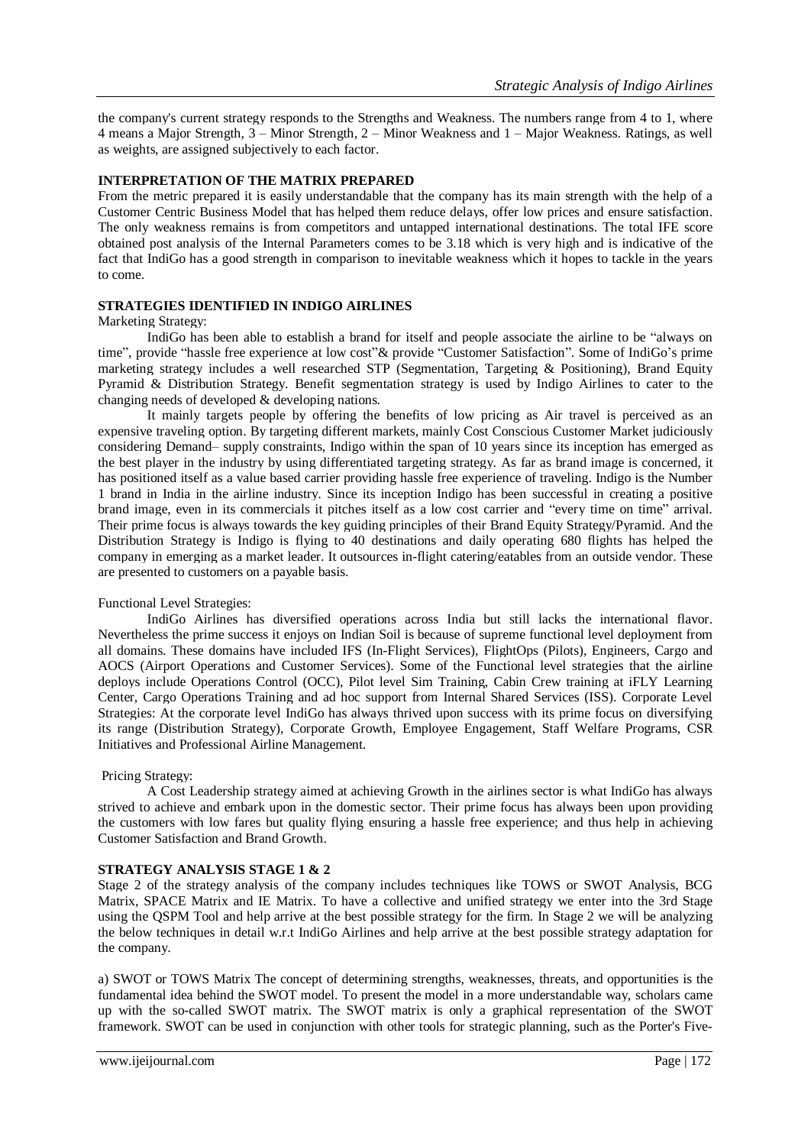the company's current strategy responds to the Strengths and Weakness. The numbers range from 4 to 1, where 4 means a Major Strength, 3 – Minor Strength, 2 – Minor Weakness and 1 – Major Weakness. Ratings, as well as weights, are assigned subjectively to each factor.

#### **INTERPRETATION OF THE MATRIX PREPARED**

From the metric prepared it is easily understandable that the company has its main strength with the help of a Customer Centric Business Model that has helped them reduce delays, offer low prices and ensure satisfaction. The only weakness remains is from competitors and untapped international destinations. The total IFE score obtained post analysis of the Internal Parameters comes to be 3.18 which is very high and is indicative of the fact that IndiGo has a good strength in comparison to inevitable weakness which it hopes to tackle in the years to come.

# **STRATEGIES IDENTIFIED IN INDIGO AIRLINES**

#### Marketing Strategy:

IndiGo has been able to establish a brand for itself and people associate the airline to be "always on time", provide "hassle free experience at low cost"& provide "Customer Satisfaction". Some of IndiGo's prime marketing strategy includes a well researched STP (Segmentation, Targeting & Positioning), Brand Equity Pyramid & Distribution Strategy. Benefit segmentation strategy is used by Indigo Airlines to cater to the changing needs of developed & developing nations.

It mainly targets people by offering the benefits of low pricing as Air travel is perceived as an expensive traveling option. By targeting different markets, mainly Cost Conscious Customer Market judiciously considering Demand– supply constraints, Indigo within the span of 10 years since its inception has emerged as the best player in the industry by using differentiated targeting strategy. As far as brand image is concerned, it has positioned itself as a value based carrier providing hassle free experience of traveling. Indigo is the Number 1 brand in India in the airline industry. Since its inception Indigo has been successful in creating a positive brand image, even in its commercials it pitches itself as a low cost carrier and "every time on time" arrival. Their prime focus is always towards the key guiding principles of their Brand Equity Strategy/Pyramid. And the Distribution Strategy is Indigo is flying to 40 destinations and daily operating 680 flights has helped the company in emerging as a market leader. It outsources in-flight catering/eatables from an outside vendor. These are presented to customers on a payable basis.

#### Functional Level Strategies:

IndiGo Airlines has diversified operations across India but still lacks the international flavor. Nevertheless the prime success it enjoys on Indian Soil is because of supreme functional level deployment from all domains. These domains have included IFS (In-Flight Services), FlightOps (Pilots), Engineers, Cargo and AOCS (Airport Operations and Customer Services). Some of the Functional level strategies that the airline deploys include Operations Control (OCC), Pilot level Sim Training, Cabin Crew training at iFLY Learning Center, Cargo Operations Training and ad hoc support from Internal Shared Services (ISS). Corporate Level Strategies: At the corporate level IndiGo has always thrived upon success with its prime focus on diversifying its range (Distribution Strategy), Corporate Growth, Employee Engagement, Staff Welfare Programs, CSR Initiatives and Professional Airline Management.

#### Pricing Strategy:

A Cost Leadership strategy aimed at achieving Growth in the airlines sector is what IndiGo has always strived to achieve and embark upon in the domestic sector. Their prime focus has always been upon providing the customers with low fares but quality flying ensuring a hassle free experience; and thus help in achieving Customer Satisfaction and Brand Growth.

#### **STRATEGY ANALYSIS STAGE 1 & 2**

Stage 2 of the strategy analysis of the company includes techniques like TOWS or SWOT Analysis, BCG Matrix, SPACE Matrix and IE Matrix. To have a collective and unified strategy we enter into the 3rd Stage using the QSPM Tool and help arrive at the best possible strategy for the firm. In Stage 2 we will be analyzing the below techniques in detail w.r.t IndiGo Airlines and help arrive at the best possible strategy adaptation for the company.

a) SWOT or TOWS Matrix The concept of determining strengths, weaknesses, threats, and opportunities is the fundamental idea behind the SWOT model. To present the model in a more understandable way, scholars came up with the so-called SWOT matrix. The SWOT matrix is only a graphical representation of the SWOT framework. SWOT can be used in conjunction with other tools for strategic planning, such as the Porter's Five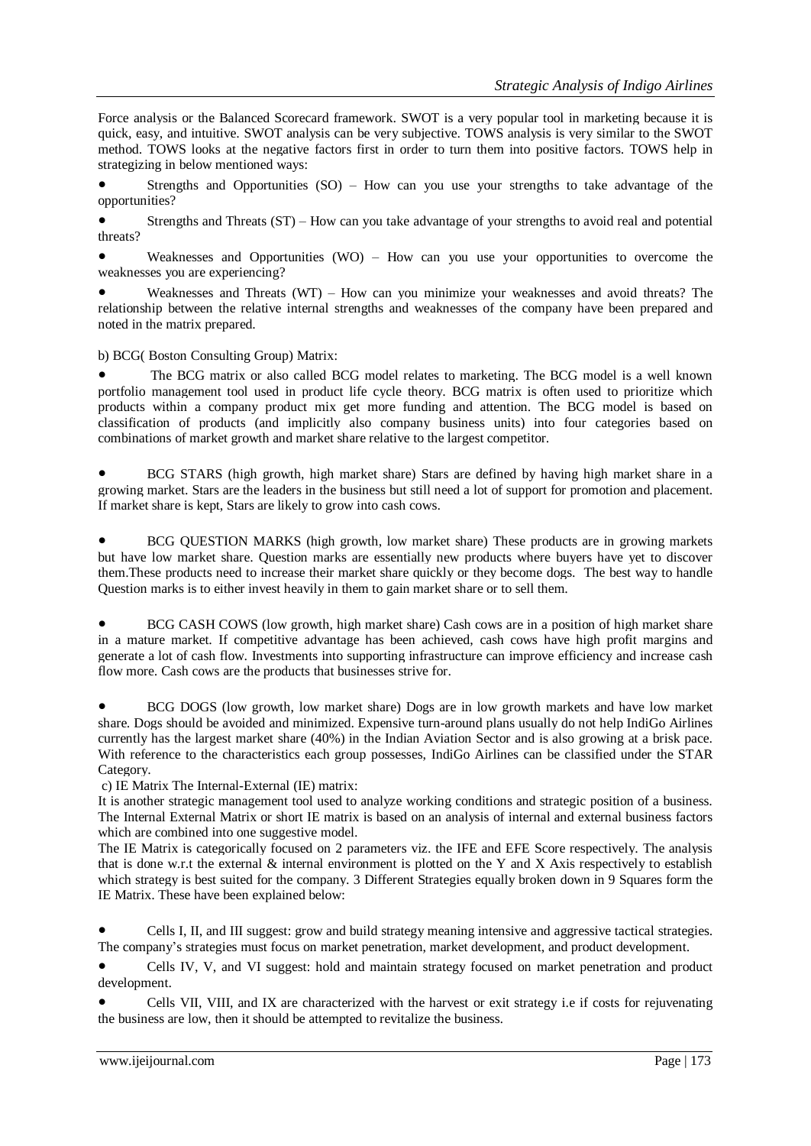Force analysis or the Balanced Scorecard framework. SWOT is a very popular tool in marketing because it is quick, easy, and intuitive. SWOT analysis can be very subjective. TOWS analysis is very similar to the SWOT method. TOWS looks at the negative factors first in order to turn them into positive factors. TOWS help in strategizing in below mentioned ways:

Strengths and Opportunities  $(SO)$  – How can you use your strengths to take advantage of the opportunities?

Strengths and Threats  $(ST)$  – How can you take advantage of your strengths to avoid real and potential threats?

Weaknesses and Opportunities (WO) – How can you use your opportunities to overcome the weaknesses you are experiencing?

Weaknesses and Threats (WT) – How can you minimize your weaknesses and avoid threats? The relationship between the relative internal strengths and weaknesses of the company have been prepared and noted in the matrix prepared.

b) BCG( Boston Consulting Group) Matrix:

• The BCG matrix or also called BCG model relates to marketing. The BCG model is a well known portfolio management tool used in product life cycle theory. BCG matrix is often used to prioritize which products within a company product mix get more funding and attention. The BCG model is based on classification of products (and implicitly also company business units) into four categories based on combinations of market growth and market share relative to the largest competitor.

BCG STARS (high growth, high market share) Stars are defined by having high market share in a growing market. Stars are the leaders in the business but still need a lot of support for promotion and placement. If market share is kept, Stars are likely to grow into cash cows.

BCG QUESTION MARKS (high growth, low market share) These products are in growing markets but have low market share. Question marks are essentially new products where buyers have yet to discover them.These products need to increase their market share quickly or they become dogs. The best way to handle Question marks is to either invest heavily in them to gain market share or to sell them.

● BCG CASH COWS (low growth, high market share) Cash cows are in a position of high market share in a mature market. If competitive advantage has been achieved, cash cows have high profit margins and generate a lot of cash flow. Investments into supporting infrastructure can improve efficiency and increase cash flow more. Cash cows are the products that businesses strive for.

BCG DOGS (low growth, low market share) Dogs are in low growth markets and have low market share. Dogs should be avoided and minimized. Expensive turn-around plans usually do not help IndiGo Airlines currently has the largest market share (40%) in the Indian Aviation Sector and is also growing at a brisk pace. With reference to the characteristics each group possesses, IndiGo Airlines can be classified under the STAR Category.

c) IE Matrix The Internal-External (IE) matrix:

It is another strategic management tool used to analyze working conditions and strategic position of a business. The Internal External Matrix or short IE matrix is based on an analysis of internal and external business factors which are combined into one suggestive model.

The IE Matrix is categorically focused on 2 parameters viz. the IFE and EFE Score respectively. The analysis that is done w.r.t the external  $\&$  internal environment is plotted on the Y and X Axis respectively to establish which strategy is best suited for the company. 3 Different Strategies equally broken down in 9 Squares form the IE Matrix. These have been explained below:

Cells I, II, and III suggest: grow and build strategy meaning intensive and aggressive tactical strategies. The company's strategies must focus on market penetration, market development, and product development.

Cells IV, V, and VI suggest: hold and maintain strategy focused on market penetration and product development.

Cells VII, VIII, and IX are characterized with the harvest or exit strategy i.e if costs for rejuvenating the business are low, then it should be attempted to revitalize the business.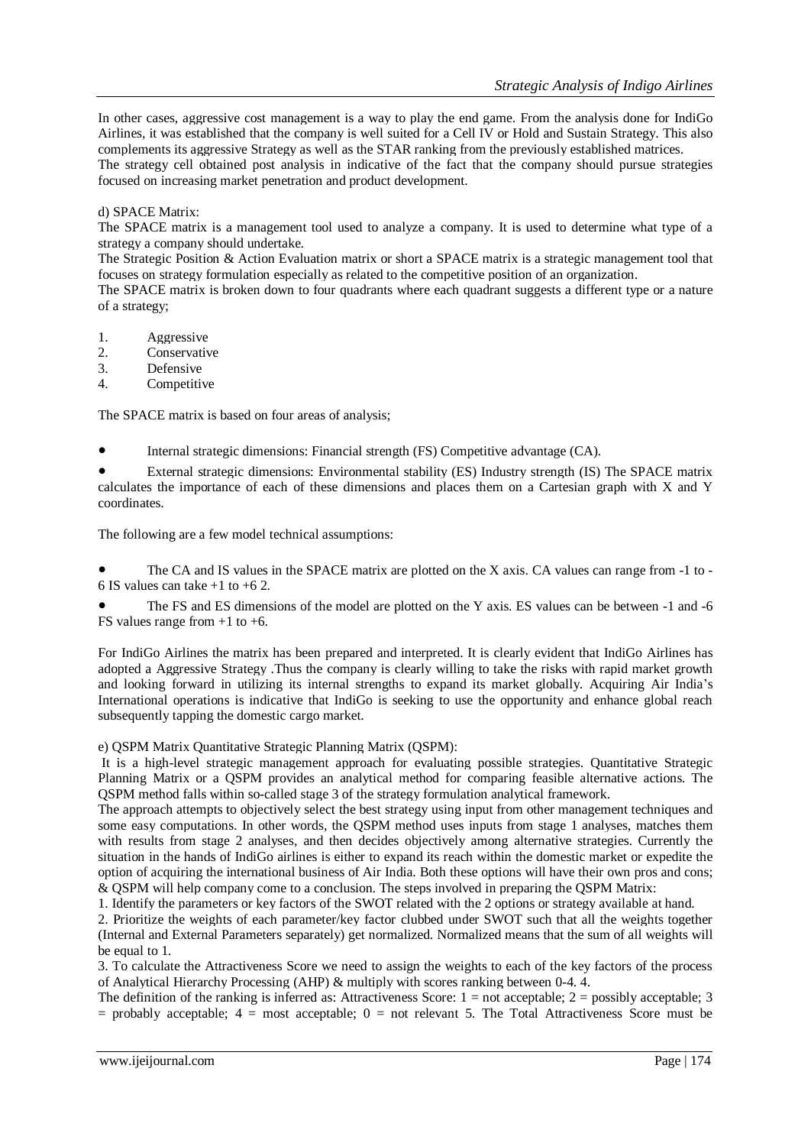In other cases, aggressive cost management is a way to play the end game. From the analysis done for IndiGo Airlines, it was established that the company is well suited for a Cell IV or Hold and Sustain Strategy. This also complements its aggressive Strategy as well as the STAR ranking from the previously established matrices.

The strategy cell obtained post analysis in indicative of the fact that the company should pursue strategies focused on increasing market penetration and product development.

#### d) SPACE Matrix:

The SPACE matrix is a management tool used to analyze a company. It is used to determine what type of a strategy a company should undertake.

The Strategic Position & Action Evaluation matrix or short a SPACE matrix is a strategic management tool that focuses on strategy formulation especially as related to the competitive position of an organization.

The SPACE matrix is broken down to four quadrants where each quadrant suggests a different type or a nature of a strategy;

- 1. Aggressive
- 2. Conservative<br>3 Defensive
- Defensive
- 4. Competitive

The SPACE matrix is based on four areas of analysis;

Internal strategic dimensions: Financial strength (FS) Competitive advantage (CA).

External strategic dimensions: Environmental stability (ES) Industry strength (IS) The SPACE matrix calculates the importance of each of these dimensions and places them on a Cartesian graph with X and Y coordinates.

The following are a few model technical assumptions:

The CA and IS values in the SPACE matrix are plotted on the X axis. CA values can range from -1 to -6 IS values can take  $+1$  to  $+6$  2.

The FS and ES dimensions of the model are plotted on the Y axis. ES values can be between -1 and -6 FS values range from  $+1$  to  $+6$ .

For IndiGo Airlines the matrix has been prepared and interpreted. It is clearly evident that IndiGo Airlines has adopted a Aggressive Strategy .Thus the company is clearly willing to take the risks with rapid market growth and looking forward in utilizing its internal strengths to expand its market globally. Acquiring Air India's International operations is indicative that IndiGo is seeking to use the opportunity and enhance global reach subsequently tapping the domestic cargo market.

#### e) QSPM Matrix Quantitative Strategic Planning Matrix (QSPM):

It is a high-level strategic management approach for evaluating possible strategies. Quantitative Strategic Planning Matrix or a QSPM provides an analytical method for comparing feasible alternative actions. The QSPM method falls within so-called stage 3 of the strategy formulation analytical framework.

The approach attempts to objectively select the best strategy using input from other management techniques and some easy computations. In other words, the QSPM method uses inputs from stage 1 analyses, matches them with results from stage 2 analyses, and then decides objectively among alternative strategies. Currently the situation in the hands of IndiGo airlines is either to expand its reach within the domestic market or expedite the option of acquiring the international business of Air India. Both these options will have their own pros and cons; & QSPM will help company come to a conclusion. The steps involved in preparing the QSPM Matrix:

1. Identify the parameters or key factors of the SWOT related with the 2 options or strategy available at hand.

2. Prioritize the weights of each parameter/key factor clubbed under SWOT such that all the weights together (Internal and External Parameters separately) get normalized. Normalized means that the sum of all weights will be equal to 1.

3. To calculate the Attractiveness Score we need to assign the weights to each of the key factors of the process of Analytical Hierarchy Processing (AHP) & multiply with scores ranking between 0-4. 4.

The definition of the ranking is inferred as: Attractiveness Score:  $1 =$  not acceptable;  $2 =$  possibly acceptable; 3  $=$  probably acceptable;  $4 =$  most acceptable;  $0 =$  not relevant 5. The Total Attractiveness Score must be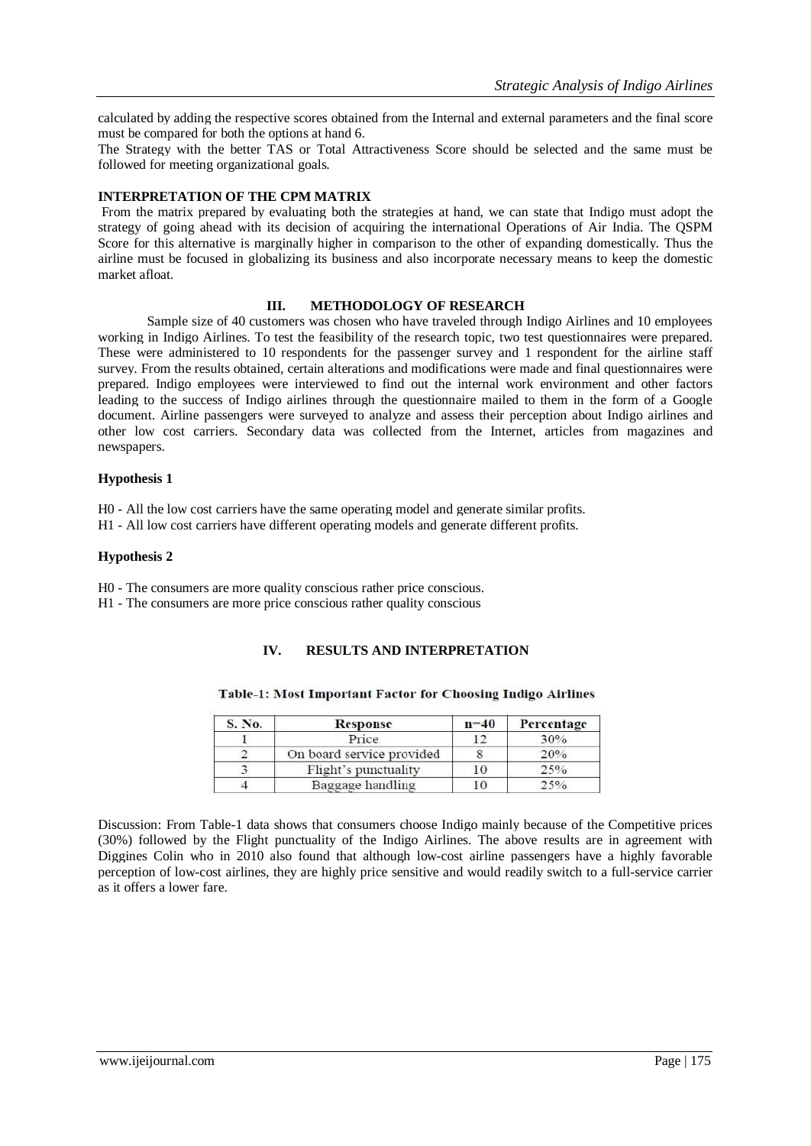calculated by adding the respective scores obtained from the Internal and external parameters and the final score must be compared for both the options at hand 6.

The Strategy with the better TAS or Total Attractiveness Score should be selected and the same must be followed for meeting organizational goals.

#### **INTERPRETATION OF THE CPM MATRIX**

From the matrix prepared by evaluating both the strategies at hand, we can state that Indigo must adopt the strategy of going ahead with its decision of acquiring the international Operations of Air India. The QSPM Score for this alternative is marginally higher in comparison to the other of expanding domestically. Thus the airline must be focused in globalizing its business and also incorporate necessary means to keep the domestic market afloat.

## **III. METHODOLOGY OF RESEARCH**

Sample size of 40 customers was chosen who have traveled through Indigo Airlines and 10 employees working in Indigo Airlines. To test the feasibility of the research topic, two test questionnaires were prepared. These were administered to 10 respondents for the passenger survey and 1 respondent for the airline staff survey. From the results obtained, certain alterations and modifications were made and final questionnaires were prepared. Indigo employees were interviewed to find out the internal work environment and other factors leading to the success of Indigo airlines through the questionnaire mailed to them in the form of a Google document. Airline passengers were surveyed to analyze and assess their perception about Indigo airlines and other low cost carriers. Secondary data was collected from the Internet, articles from magazines and newspapers.

#### **Hypothesis 1**

H0 - All the low cost carriers have the same operating model and generate similar profits.

H1 - All low cost carriers have different operating models and generate different profits.

#### **Hypothesis 2**

- H0 The consumers are more quality conscious rather price conscious.
- H1 The consumers are more price conscious rather quality conscious

# **IV. RESULTS AND INTERPRETATION**

| S. No. | Response                  | $n=40$ | Percentage |
|--------|---------------------------|--------|------------|
|        | Price                     |        | 30%        |
|        | On board service provided |        | 20%        |
|        | Flight's punctuality      | 10     | 25%        |
|        | Baggage handling          |        |            |

#### Table-1: Most Important Factor for Choosing Indigo Airlines

Discussion: From Table-1 data shows that consumers choose Indigo mainly because of the Competitive prices (30%) followed by the Flight punctuality of the Indigo Airlines. The above results are in agreement with Diggines Colin who in 2010 also found that although low-cost airline passengers have a highly favorable perception of low-cost airlines, they are highly price sensitive and would readily switch to a full-service carrier as it offers a lower fare.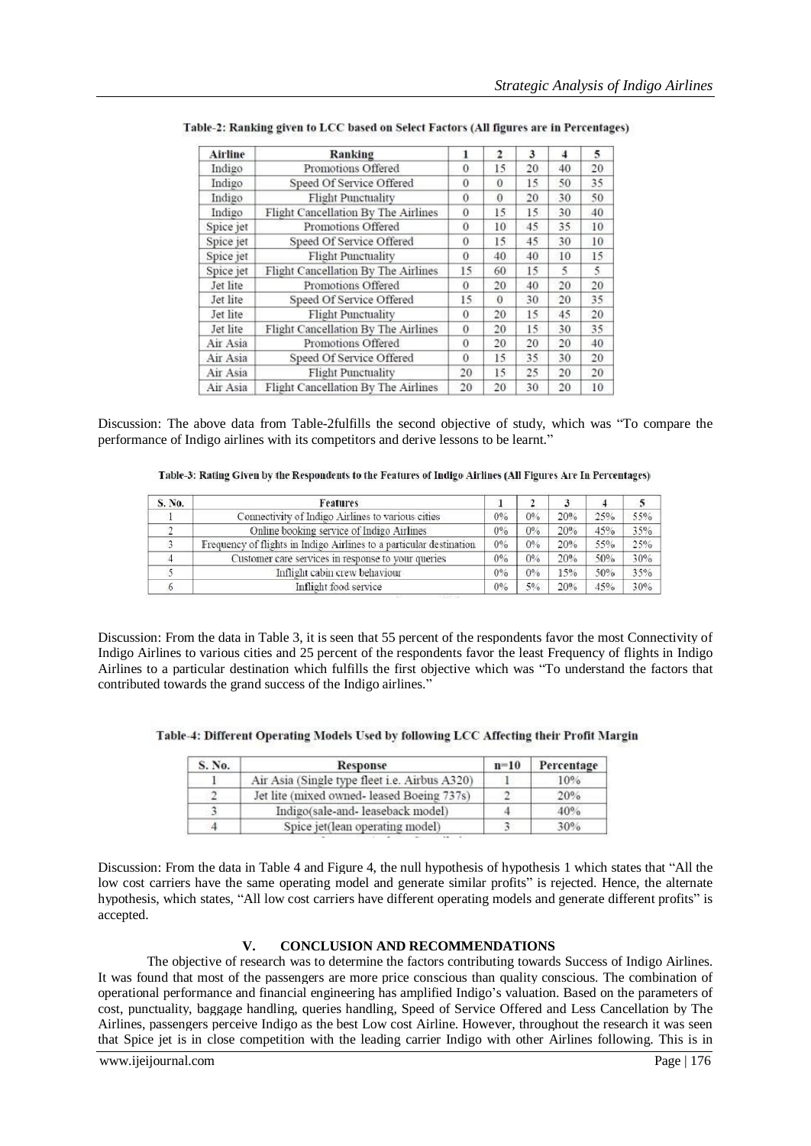| Airline   | Ranking                             |              | 2        | 3  | 4  | 5  |
|-----------|-------------------------------------|--------------|----------|----|----|----|
| Indigo    | Promotions Offered                  | $\Omega$     | 15       | 20 | 40 | 20 |
| Indigo    | Speed Of Service Offered            | $\bf{0}$     | $\theta$ | 15 | 50 | 35 |
| Indigo    | <b>Flight Punctuality</b>           | $\Omega$     | $\Omega$ | 20 | 30 | 50 |
| Indigo    | Flight Cancellation By The Airlines | $\Omega$     | 15       | 15 | 30 | 40 |
| Spice jet | Promotions Offered                  | $\Omega$     | 10       | 45 | 35 | 10 |
| Spice jet | Speed Of Service Offered            | $\Omega$     | 15.      | 45 | 30 | 10 |
| Spice jet | <b>Flight Punctuality</b>           | 0            | 40       | 40 | 10 | 15 |
| Spice jet | Flight Cancellation By The Airlines | 15           | 60       | 15 | 5  | 5  |
| Jet lite  | Promotions Offered                  | $\Omega$     | 20       | 40 | 20 | 20 |
| Jet lite  | Speed Of Service Offered            | 15.          | $\theta$ | 30 | 20 | 35 |
| Jet lite  | <b>Flight Punctuality</b>           | $\Omega$     | 20       | 15 | 45 | 20 |
| Jet lite  | Flight Cancellation By The Airlines | $\Omega$     | 20       | 15 | 30 | 35 |
| Air Asia  | Promotions Offered                  | $\mathbf{0}$ | 20       | 20 | 20 | 40 |
| Air Asia  | Speed Of Service Offered            | $\Omega$     | 15       | 35 | 30 | 20 |
| Air Asia  | <b>Flight Punctuality</b>           | 20           | 15       | 25 | 20 | 20 |
| Air Asia  | Flight Cancellation By The Airlines | 20           | 20       | 30 | 20 | 10 |

| Table-2: Ranking given to LCC based on Select Factors (All figures are in Percentages) |  |
|----------------------------------------------------------------------------------------|--|
|                                                                                        |  |

Discussion: The above data from Table-2fulfills the second objective of study, which was "To compare the performance of Indigo airlines with its competitors and derive lessons to be learnt."

|  | Table-3: Rating Given by the Respondents to the Features of Indigo Airlines (All Figures Are In Percentages) |
|--|--------------------------------------------------------------------------------------------------------------|
|--|--------------------------------------------------------------------------------------------------------------|

| S. No. | Features                                                            |    | $\overline{2}$ |     |     |     |
|--------|---------------------------------------------------------------------|----|----------------|-----|-----|-----|
|        | Connectivity of Indigo Airlines to various cities                   | 0% | $0\%$          | 20% | 25% | 55% |
|        | Online booking service of Indigo Airlines                           | 0% | $0\%$          | 20% | 45% | 35% |
|        | Frequency of flights in Indigo Airlines to a particular destination | 0% | 0%             | 20% | 55% | 25% |
|        | Customer care services in response to your queries                  | 0% | 0%             | 20% | 50% | 30% |
|        | Inflight cabin crew behaviour                                       | 0% | $0\%$          | 15% | 50% | 35% |
| 6      | Inflight food service                                               | 0% | $5\%$          | 20% | 45% | 30% |

Discussion: From the data in Table 3, it is seen that 55 percent of the respondents favor the most Connectivity of Indigo Airlines to various cities and 25 percent of the respondents favor the least Frequency of flights in Indigo Airlines to a particular destination which fulfills the first objective which was "To understand the factors that contributed towards the grand success of the Indigo airlines."

| Table-4: Different Operating Models Used by following LCC Affecting their Profit Margin |  |
|-----------------------------------------------------------------------------------------|--|
|-----------------------------------------------------------------------------------------|--|

| S. No. | Response                                      | n=10 | Percentage |
|--------|-----------------------------------------------|------|------------|
|        | Air Asia (Single type fleet i.e. Airbus A320) |      | 10%        |
|        | Jet lite (mixed owned- leased Boeing 737s)    |      | 20%        |
|        | Indigo(sale-and-leaseback model)              |      | 40%        |
|        | Spice jet(lean operating model)               |      | 30%        |

Discussion: From the data in Table 4 and Figure 4, the null hypothesis of hypothesis 1 which states that "All the low cost carriers have the same operating model and generate similar profits" is rejected. Hence, the alternate hypothesis, which states, "All low cost carriers have different operating models and generate different profits" is accepted.

#### **V. CONCLUSION AND RECOMMENDATIONS**

The objective of research was to determine the factors contributing towards Success of Indigo Airlines. It was found that most of the passengers are more price conscious than quality conscious. The combination of operational performance and financial engineering has amplified Indigo's valuation. Based on the parameters of cost, punctuality, baggage handling, queries handling, Speed of Service Offered and Less Cancellation by The Airlines, passengers perceive Indigo as the best Low cost Airline. However, throughout the research it was seen that Spice jet is in close competition with the leading carrier Indigo with other Airlines following. This is in